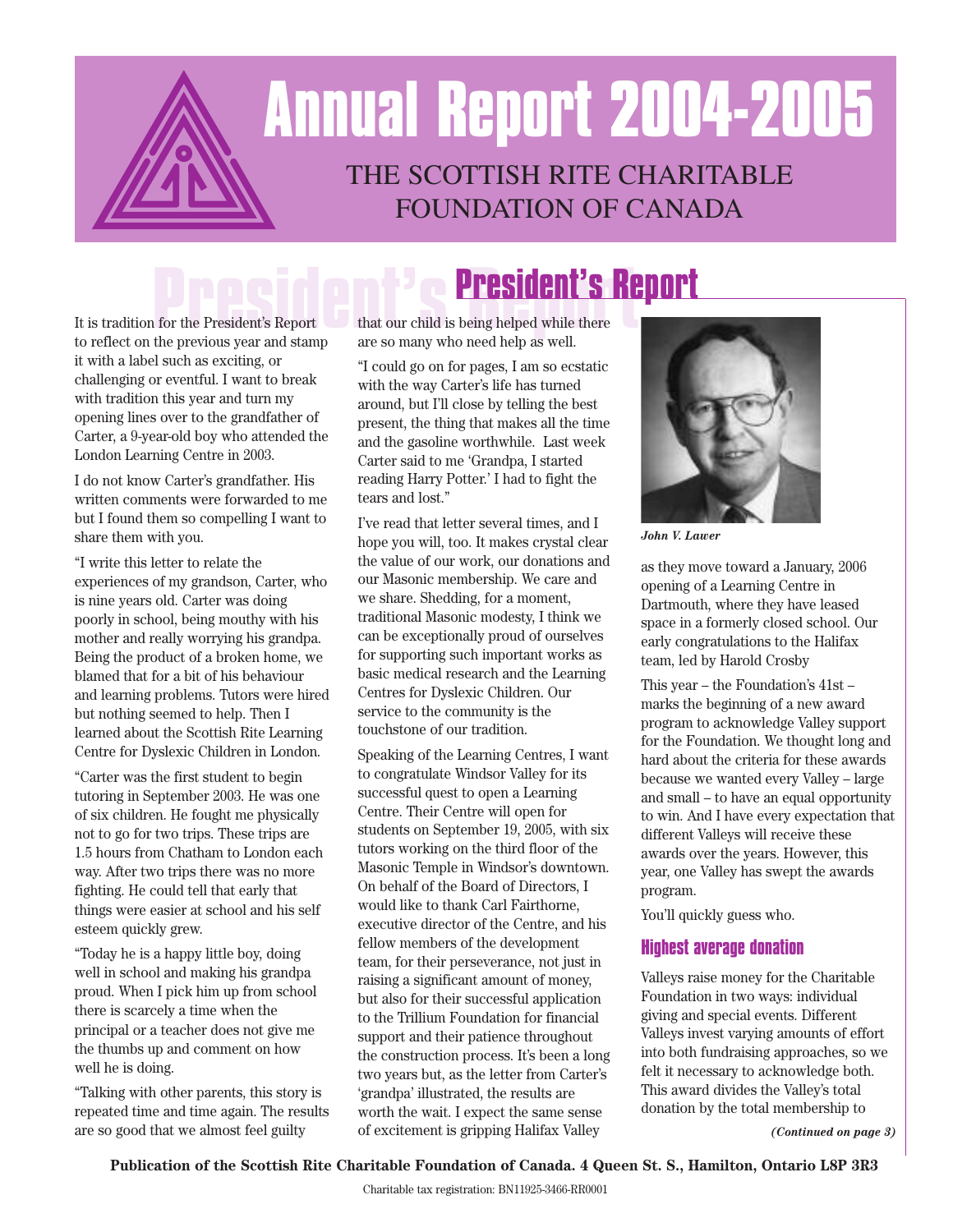# THE SCOTTISH RITE CHARITABLE FOUNDATION OF CANADA **Annual Report 2004-2005**

It is tradition for the President's Report **President's Report** to reflect on the previous year and stamp **President's Report** it with a label such as exciting, or challenging or eventful. I want to break with tradition this year and turn my opening lines over to the grandfather of Carter, a 9-year-old boy who attended the London Learning Centre in 2003.

I do not know Carter's grandfather. His written comments were forwarded to me but I found them so compelling I want to share them with you.

"I write this letter to relate the experiences of my grandson, Carter, who is nine years old. Carter was doing poorly in school, being mouthy with his mother and really worrying his grandpa. Being the product of a broken home, we blamed that for a bit of his behaviour and learning problems. Tutors were hired but nothing seemed to help. Then I learned about the Scottish Rite Learning Centre for Dyslexic Children in London.

"Carter was the first student to begin tutoring in September 2003. He was one of six children. He fought me physically not to go for two trips. These trips are 1.5 hours from Chatham to London each way. After two trips there was no more fighting. He could tell that early that things were easier at school and his self esteem quickly grew.

"Today he is a happy little boy, doing well in school and making his grandpa proud. When I pick him up from school there is scarcely a time when the principal or a teacher does not give me the thumbs up and comment on how well he is doing.

"Talking with other parents, this story is repeated time and time again. The results are so good that we almost feel guilty

that our child is being helped while there are so many who need help as well.

"I could go on for pages, I am so ecstatic with the way Carter's life has turned around, but I'll close by telling the best present, the thing that makes all the time and the gasoline worthwhile. Last week Carter said to me 'Grandpa, I started reading Harry Potter.' I had to fight the tears and lost."

I've read that letter several times, and I hope you will, too. It makes crystal clear the value of our work, our donations and our Masonic membership. We care and we share. Shedding, for a moment, traditional Masonic modesty, I think we can be exceptionally proud of ourselves for supporting such important works as basic medical research and the Learning Centres for Dyslexic Children. Our service to the community is the touchstone of our tradition.

Speaking of the Learning Centres, I want to congratulate Windsor Valley for its successful quest to open a Learning Centre. Their Centre will open for students on September 19, 2005, with six tutors working on the third floor of the Masonic Temple in Windsor's downtown. On behalf of the Board of Directors, I would like to thank Carl Fairthorne, executive director of the Centre, and his fellow members of the development team, for their perseverance, not just in raising a significant amount of money, but also for their successful application to the Trillium Foundation for financial support and their patience throughout the construction process. It's been a long two years but, as the letter from Carter's 'grandpa' illustrated, the results are worth the wait. I expect the same sense of excitement is gripping Halifax Valley



*John V. Lawer*

as they move toward a January, 2006 opening of a Learning Centre in Dartmouth, where they have leased space in a formerly closed school. Our early congratulations to the Halifax team, led by Harold Crosby

This year – the Foundation's 41st – marks the beginning of a new award program to acknowledge Valley support for the Foundation. We thought long and hard about the criteria for these awards because we wanted every Valley – large and small – to have an equal opportunity to win. And I have every expectation that different Valleys will receive these awards over the years. However, this year, one Valley has swept the awards program.

You'll quickly guess who.

#### **Highest average donation**

Valleys raise money for the Charitable Foundation in two ways: individual giving and special events. Different Valleys invest varying amounts of effort into both fundraising approaches, so we felt it necessary to acknowledge both. This award divides the Valley's total donation by the total membership to

*(Continued on page 3)*

#### **Publication of the Scottish Rite Charitable Foundation of Canada. 4 Queen St. S., Hamilton, Ontario L8P 3R3**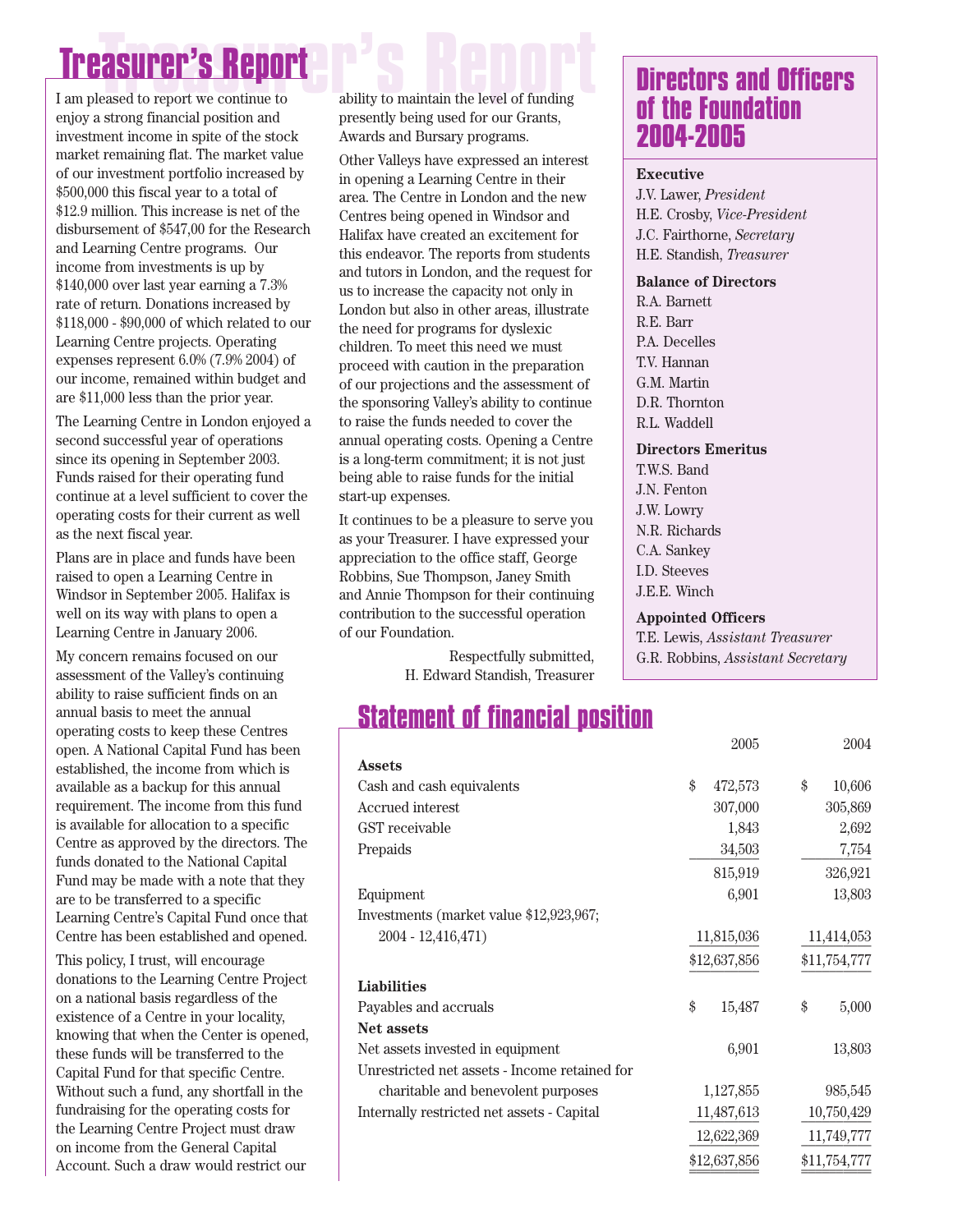# **Treasurer's Report Treasurer's Report**

enjoy a strong financial position and investment income in spite of the stock market remaining flat. The market value of our investment portfolio increased by \$500,000 this fiscal year to a total of \$12.9 million. This increase is net of the disbursement of \$547,00 for the Research and Learning Centre programs. Our income from investments is up by \$140,000 over last year earning a 7.3% rate of return. Donations increased by \$118,000 - \$90,000 of which related to our Learning Centre projects. Operating expenses represent 6.0% (7.9% 2004) of our income, remained within budget and are \$11,000 less than the prior year.

The Learning Centre in London enjoyed a second successful year of operations since its opening in September 2003. Funds raised for their operating fund continue at a level sufficient to cover the operating costs for their current as well as the next fiscal year.

Plans are in place and funds have been raised to open a Learning Centre in Windsor in September 2005. Halifax is well on its way with plans to open a Learning Centre in January 2006.

My concern remains focused on our assessment of the Valley's continuing ability to raise sufficient finds on an annual basis to meet the annual operating costs to keep these Centres open. A National Capital Fund has been established, the income from which is available as a backup for this annual requirement. The income from this fund is available for allocation to a specific Centre as approved by the directors. The funds donated to the National Capital Fund may be made with a note that they are to be transferred to a specific Learning Centre's Capital Fund once that Centre has been established and opened.

This policy, I trust, will encourage donations to the Learning Centre Project on a national basis regardless of the existence of a Centre in your locality, knowing that when the Center is opened, these funds will be transferred to the Capital Fund for that specific Centre. Without such a fund, any shortfall in the fundraising for the operating costs for the Learning Centre Project must draw on income from the General Capital Account. Such a draw would restrict our

ability to maintain the level of funding presently being used for our Grants, Awards and Bursary programs.

Other Valleys have expressed an interest in opening a Learning Centre in their area. The Centre in London and the new Centres being opened in Windsor and Halifax have created an excitement for this endeavor. The reports from students and tutors in London, and the request for us to increase the capacity not only in London but also in other areas, illustrate the need for programs for dyslexic children. To meet this need we must proceed with caution in the preparation of our projections and the assessment of the sponsoring Valley's ability to continue to raise the funds needed to cover the annual operating costs. Opening a Centre is a long-term commitment; it is not just being able to raise funds for the initial start-up expenses.

It continues to be a pleasure to serve you as your Treasurer. I have expressed your appreciation to the office staff, George Robbins, Sue Thompson, Janey Smith and Annie Thompson for their continuing contribution to the successful operation of our Foundation.

> Respectfully submitted, H. Edward Standish, Treasurer

### **Statement of financial position**

|                                               | 2005          | 2004         |
|-----------------------------------------------|---------------|--------------|
| <b>Assets</b>                                 |               |              |
| Cash and cash equivalents                     | \$<br>472,573 | \$<br>10,606 |
| Accrued interest                              | 307,000       | 305,869      |
| GST receivable                                | 1,843         | 2,692        |
| Prepaids                                      | 34,503        | 7,754        |
|                                               | 815,919       | 326,921      |
| Equipment                                     | 6,901         | 13,803       |
| Investments (market value \$12,923,967;       |               |              |
| $2004 - 12,416,471$                           | 11,815,036    | 11,414,053   |
|                                               | \$12,637,856  | \$11,754,777 |
| <b>Liabilities</b>                            |               |              |
| Payables and accruals                         | \$<br>15,487  | \$<br>5,000  |
| <b>Net assets</b>                             |               |              |
| Net assets invested in equipment              | 6,901         | 13,803       |
| Unrestricted net assets - Income retained for |               |              |
| charitable and benevolent purposes            | 1,127,855     | 985,545      |
| Internally restricted net assets - Capital    | 11,487,613    | 10,750,429   |
|                                               | 12,622,369    | 11,749,777   |
|                                               | \$12,637,856  | \$11,754,777 |
|                                               |               |              |

### **Directors and Officers of the Foundation 2004-2005**

#### **Executive**

J.V. Lawer, *President* H.E. Crosby, *Vice-President* J.C. Fairthorne, *Secretary* H.E. Standish, *Treasurer*

#### **Balance of Directors**

R.A. Barnett R.E. Barr P.A. Decelles T.V. Hannan G.M. Martin D.R. Thornton R.L. Waddell

#### **Directors Emeritus**

T.W.S. Band J.N. Fenton J.W. Lowry N.R. Richards C.A. Sankey I.D. Steeves J.E.E. Winch

#### **Appointed Officers**

T.E. Lewis, *Assistant Treasurer* G.R. Robbins, *Assistant Secretary*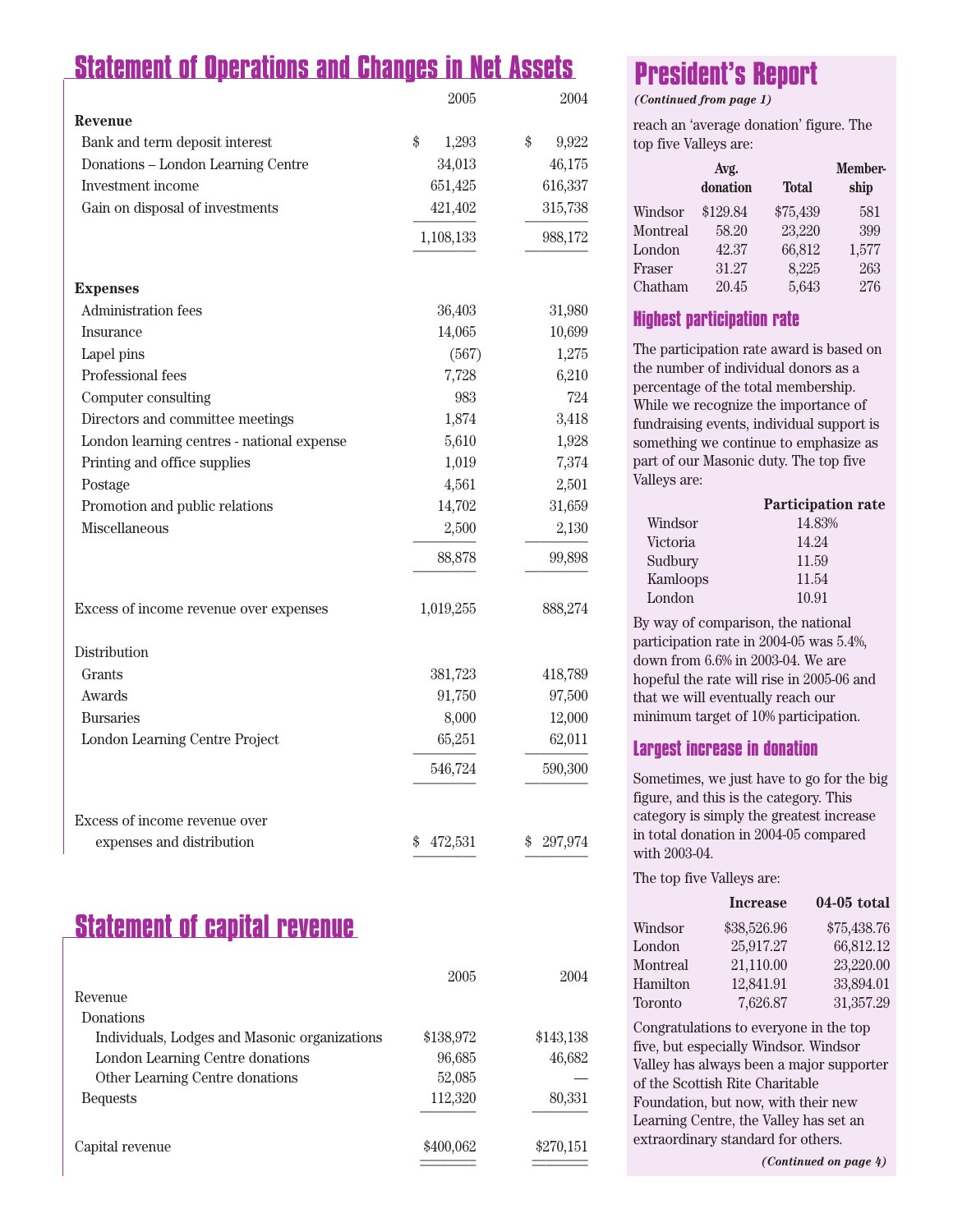### **Statement of Operations and Changes in Net Assets**

|                                            | 2005          | 2004          |
|--------------------------------------------|---------------|---------------|
| Revenue                                    |               |               |
| Bank and term deposit interest             | \$<br>1,293   | \$<br>9,922   |
| Donations - London Learning Centre         | 34,013        | 46,175        |
| Investment income                          | 651,425       | 616,337       |
| Gain on disposal of investments            | 421,402       | 315,738       |
|                                            | 1,108,133     | 988,172       |
| <b>Expenses</b>                            |               |               |
| Administration fees                        | 36,403        | 31,980        |
| Insurance                                  | 14,065        | 10,699        |
| Lapel pins                                 | (567)         | 1,275         |
| Professional fees                          | 7,728         | 6,210         |
| Computer consulting                        | 983           | 724           |
| Directors and committee meetings           | 1,874         | 3,418         |
| London learning centres - national expense | 5,610         | 1,928         |
| Printing and office supplies               | 1,019         | 7,374         |
| Postage                                    | 4,561         | 2,501         |
| Promotion and public relations             | 14,702        | 31,659        |
| Miscellaneous                              | 2,500         | 2,130         |
|                                            | 88,878        | 99,898        |
| Excess of income revenue over expenses     | 1,019,255     | 888,274       |
| Distribution                               |               |               |
| Grants                                     | 381,723       | 418,789       |
| Awards                                     | 91,750        | 97,500        |
| <b>Bursaries</b>                           | 8,000         | 12,000        |
| London Learning Centre Project             | 65,251        | 62,011        |
|                                            | 546,724       | 590,300       |
| Excess of income revenue over              |               |               |
| expenses and distribution                  | 472,531<br>\$ | 297,974<br>\$ |

### **Statement of capital revenue**

|                                               | 2005      | 2004      |
|-----------------------------------------------|-----------|-----------|
| Revenue                                       |           |           |
| Donations                                     |           |           |
| Individuals, Lodges and Masonic organizations | \$138,972 | \$143,138 |
| London Learning Centre donations              | 96,685    | 46,682    |
| Other Learning Centre donations               | 52,085    |           |
| <b>Bequests</b>                               | 112,320   | 80,331    |
|                                               |           |           |
| Capital revenue                               | \$400,062 | \$270,151 |

## **President's Report**

*(Continued from page 1)*

reach an 'average donation' figure. The top five Valleys are:

|          | Avg.<br>donation | <b>Total</b> | <b>Member-</b><br>ship |
|----------|------------------|--------------|------------------------|
| Windsor  | \$129.84         | \$75,439     | 581                    |
| Montreal | 58.20            | 23,220       | 399                    |
| London   | 42.37            | 66,812       | 1,577                  |
| Fraser   | 31.27            | 8,225        | 263                    |
| Chatham  | 20.45            | 5,643        | 276                    |

### **Highest participation rate**

The participation rate award is based on the number of individual donors as a percentage of the total membership. While we recognize the importance of fundraising events, individual support is something we continue to emphasize as part of our Masonic duty. The top five Valleys are:

| Participation rate |
|--------------------|
| 14.83%             |
| 14.24              |
| 11.59              |
| 11.54              |
| 10.91              |
|                    |

By way of comparison, the national participation rate in 2004-05 was 5.4%, down from 6.6% in 2003-04. We are hopeful the rate will rise in 2005-06 and that we will eventually reach our minimum target of 10% participation.

### **Largest increase in donation**

Sometimes, we just have to go for the big figure, and this is the category. This category is simply the greatest increase in total donation in 2004-05 compared with 2003-04.

The top five Valleys are:

|          | <b>Increase</b> | 04-05 total |
|----------|-----------------|-------------|
| Windsor  | \$38,526.96     | \$75,438.76 |
| London   | 25,917.27       | 66,812.12   |
| Montreal | 21,110.00       | 23,220.00   |
| Hamilton | 12,841.91       | 33,894.01   |
| Toronto  | 7,626.87        | 31,357.29   |

Congratulations to everyone in the top five, but especially Windsor. Windsor Valley has always been a major supporter of the Scottish Rite Charitable Foundation, but now, with their new Learning Centre, the Valley has set an extraordinary standard for others.

*(Continued on page 4)*